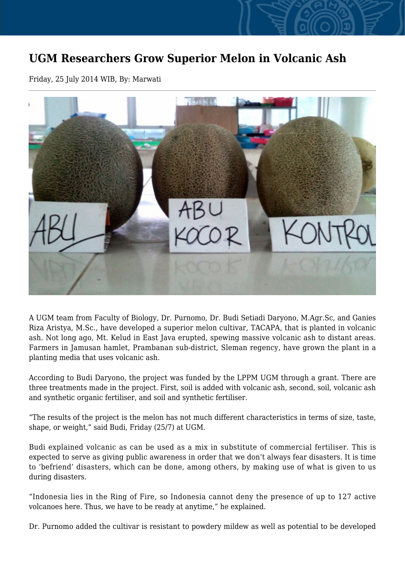## **UGM Researchers Grow Superior Melon in Volcanic Ash**

Friday, 25 July 2014 WIB, By: Marwati



A UGM team from Faculty of Biology, Dr. Purnomo, Dr. Budi Setiadi Daryono, M.Agr.Sc, and Ganies Riza Aristya, M.Sc., have developed a superior melon cultivar, TACAPA, that is planted in volcanic ash. Not long ago, Mt. Kelud in East Java erupted, spewing massive volcanic ash to distant areas. Farmers in Jamusan hamlet, Prambanan sub-district, Sleman regency, have grown the plant in a planting media that uses volcanic ash.

According to Budi Daryono, the project was funded by the LPPM UGM through a grant. There are three treatments made in the project. First, soil is added with volcanic ash, second, soil, volcanic ash and synthetic organic fertiliser, and soil and synthetic fertiliser.

"The results of the project is the melon has not much different characteristics in terms of size, taste, shape, or weight," said Budi, Friday (25/7) at UGM.

Budi explained volcanic as can be used as a mix in substitute of commercial fertiliser. This is expected to serve as giving public awareness in order that we don't always fear disasters. It is time to 'befriend' disasters, which can be done, among others, by making use of what is given to us during disasters.

"Indonesia lies in the Ring of Fire, so Indonesia cannot deny the presence of up to 127 active volcanoes here. Thus, we have to be ready at anytime," he explained.

Dr. Purnomo added the cultivar is resistant to powdery mildew as well as potential to be developed